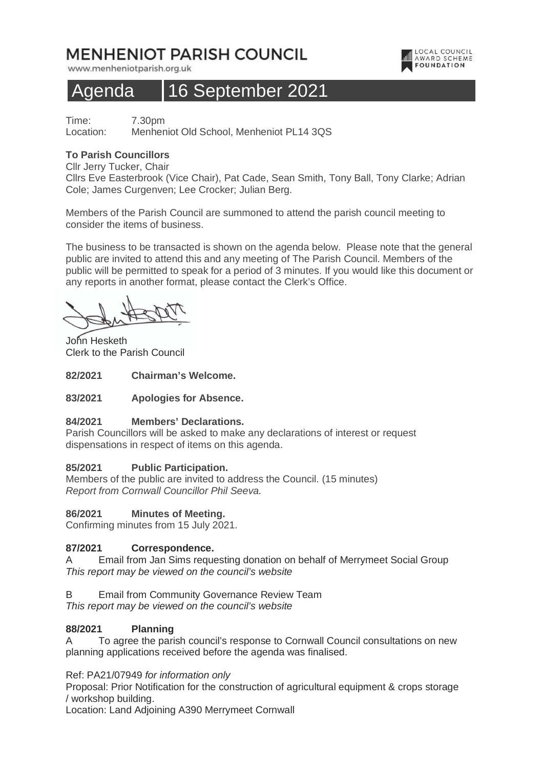# **MENHENIOT PARISH COUNCIL**

www.menheniotparish.org.uk

## Agenda 16 September 2021

LOCAL COUNCIL **AWARD SCHEME** 

Time: 7.30pm Location: Menheniot Old School, Menheniot PL14 3QS

#### **To Parish Councillors**

Cllr Jerry Tucker, Chair

Cllrs Eve Easterbrook (Vice Chair), Pat Cade, Sean Smith, Tony Ball, Tony Clarke; Adrian Cole; James Curgenven; Lee Crocker; Julian Berg.

Members of the Parish Council are summoned to attend the parish council meeting to consider the items of business.

The business to be transacted is shown on the agenda below. Please note that the general public are invited to attend this and any meeting of The Parish Council. Members of the public will be permitted to speak for a period of 3 minutes. If you would like this document or any reports in another format, please contact the Clerk's Office.

John Hesketh Clerk to the Parish Council

**82/2021 Chairman's Welcome.** 

#### **83/2021 Apologies for Absence.**

#### **84/2021 Members' Declarations.**

Parish Councillors will be asked to make any declarations of interest or request dispensations in respect of items on this agenda.

## **85/2021 Public Participation.**

Members of the public are invited to address the Council. (15 minutes) Report from Cornwall Councillor Phil Seeva.

## **86/2021 Minutes of Meeting.**

Confirming minutes from 15 July 2021.

## **87/2021 Correspondence.**

A Email from Jan Sims requesting donation on behalf of Merrymeet Social Group This report may be viewed on the council's website

B Email from Community Governance Review Team

This report may be viewed on the council's website

## **88/2021 Planning**

A To agree the parish council's response to Cornwall Council consultations on new planning applications received before the agenda was finalised.

#### Ref: PA21/07949 for information only

Proposal: Prior Notification for the construction of agricultural equipment & crops storage / workshop building.

Location: Land Adjoining A390 Merrymeet Cornwall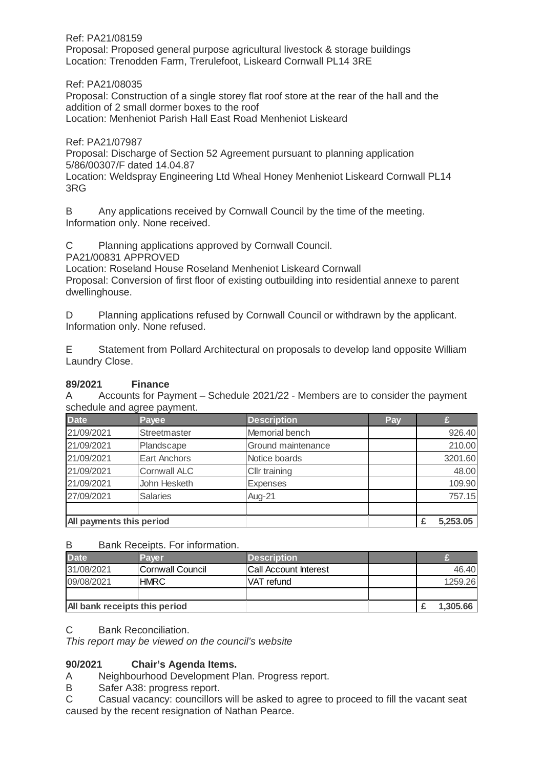Ref: PA21/08159 Proposal: Proposed general purpose agricultural livestock & storage buildings Location: Trenodden Farm, Trerulefoot, Liskeard Cornwall PL14 3RE

Ref: PA21/08035

Proposal: Construction of a single storey flat roof store at the rear of the hall and the addition of 2 small dormer boxes to the roof Location: Menheniot Parish Hall East Road Menheniot Liskeard

Ref: PA21/07987

Proposal: Discharge of Section 52 Agreement pursuant to planning application 5/86/00307/F dated 14.04.87

Location: Weldspray Engineering Ltd Wheal Honey Menheniot Liskeard Cornwall PL14 3RG

B Any applications received by Cornwall Council by the time of the meeting. Information only. None received.

C Planning applications approved by Cornwall Council.

PA21/00831 APPROVED

Location: Roseland House Roseland Menheniot Liskeard Cornwall Proposal: Conversion of first floor of existing outbuilding into residential annexe to parent dwellinghouse.

D Planning applications refused by Cornwall Council or withdrawn by the applicant. Information only. None refused.

E Statement from Pollard Architectural on proposals to develop land opposite William Laundry Close.

#### **89/2021 Finance**

A Accounts for Payment – Schedule 2021/22 - Members are to consider the payment schedule and agree payment.

| <b>Date</b>              | Payee               | <b>Description</b> | Pay |         |
|--------------------------|---------------------|--------------------|-----|---------|
| 21/09/2021               | Streetmaster        | Memorial bench     |     | 926.40  |
| 21/09/2021               | Plandscape          | Ground maintenance |     | 210.00  |
| 21/09/2021               | <b>Eart Anchors</b> | Notice boards      |     | 3201.60 |
| 21/09/2021               | <b>Cornwall ALC</b> | Cllr training      |     | 48.00   |
| 21/09/2021               | John Hesketh        | <b>Expenses</b>    |     | 109.90  |
| 27/09/2021               | <b>Salaries</b>     | Aug-21             |     | 757.15  |
|                          |                     |                    |     |         |
| All payments this period | 5,253.05            |                    |     |         |

#### B Bank Receipts. For information.

| <b>Date</b>                   | Paver                   | <b>Description</b>           |  |          |
|-------------------------------|-------------------------|------------------------------|--|----------|
| 31/08/2021                    | <b>Cornwall Council</b> | <b>Call Account Interest</b> |  | 46.40    |
| 09/08/2021                    | <b>HMRC</b>             | VAT refund                   |  | 1259.26  |
|                               |                         |                              |  |          |
| All bank receipts this period |                         |                              |  | 1,305.66 |

#### C Bank Reconciliation.

This report may be viewed on the council's website

## **90/2021 Chair's Agenda Items.**

A Neighbourhood Development Plan. Progress report.

B Safer A38: progress report.

C Casual vacancy: councillors will be asked to agree to proceed to fill the vacant seat caused by the recent resignation of Nathan Pearce.